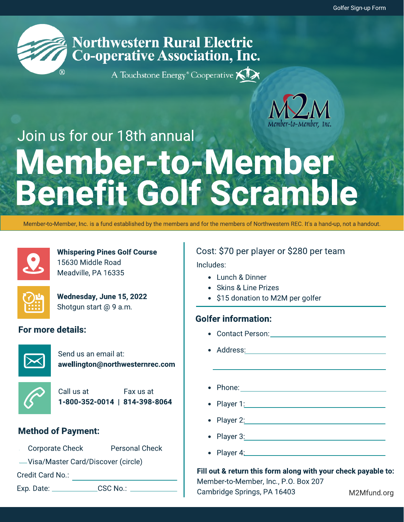

# **Northwestern Rural Electric Co-operative Association, Inc.**

A Touchstone Energy® Cooperative KIX



# Join us for our 18th annual Member-to-Member Benefit Golf Scramble

Member-to-Member, Inc. is a fund established by the members and for the members of Northwestern REC. It's a hand-up, not a handout.



Whispering Pines Golf Course 15630 Middle Road Meadville, PA 16335



Wednesday, June 15, 2022 Shotgun start @ 9 a.m.

### For more details:



Send us an email at: awellington@northwesternrec.com



Call us at Fax us at 1-800-352-0014 | 814-398-8064

### Method of Payment:

- \_Corporate Check \_\_\_ Personal Check
- Visa/Master Card/Discover (circle)

Credit Card No.:

Exp. Date: \_\_\_\_\_\_\_\_\_\_\_\_\_\_\_\_CSC No.: \_

### Cost: \$70 per player or \$280 per team

Includes:

- Lunch & Dinner
- Skins & Line Prizes
- \$15 donation to M2M per golfer

### Golfer information:

- Contact Person:
- Address:
- Phone: The contract of the contract of the contract of the contract of the contract of the contract of the contract of the contract of the contract of the contract of the contract of the contract of the contract of the con
	- Player 1: The contract of the contract of the contract of the contract of the contract of the contract of the contract of the contract of the contract of the contract of the contract of the contract of the contract of the
- Player 2: The contract of the contract of the contract of the contract of the contract of the contract of the contract of the contract of the contract of the contract of the contract of the contract of the contract of the
- Player 3:
- $\bullet$  Player 4:

Fill out & return this form along with your check payable to: Member-to-Member, Inc., P.O. Box 207 Cambridge Springs, PA 16403 M2Mfund.org